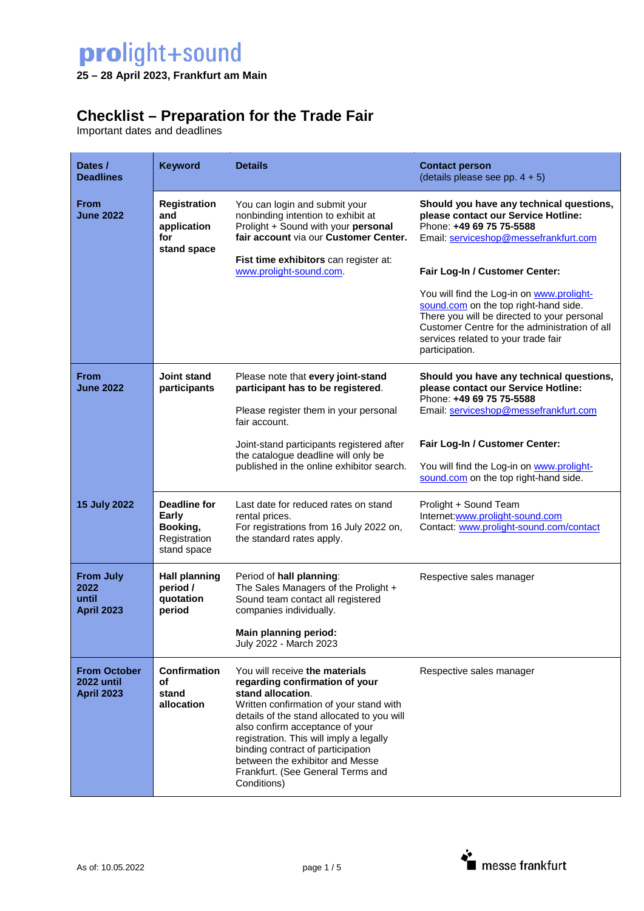**25 – 28 April 2023, Frankfurt am Main** 

## **Checklist – Preparation for the Trade Fair**

Important dates and deadlines

| Dates /<br><b>Deadlines</b>                                    | <b>Keyword</b>                                                          | <b>Details</b>                                                                                                                                                                                                                                                                                                                                                                           | <b>Contact person</b><br>(details please see pp. $4 + 5$ )                                                                                                                                                                                  |
|----------------------------------------------------------------|-------------------------------------------------------------------------|------------------------------------------------------------------------------------------------------------------------------------------------------------------------------------------------------------------------------------------------------------------------------------------------------------------------------------------------------------------------------------------|---------------------------------------------------------------------------------------------------------------------------------------------------------------------------------------------------------------------------------------------|
| From<br><b>June 2022</b>                                       | <b>Registration</b><br>and<br>application<br>for<br>stand space         | You can login and submit your<br>nonbinding intention to exhibit at<br>Prolight + Sound with your personal<br>fair account via our Customer Center.                                                                                                                                                                                                                                      | Should you have any technical questions,<br>please contact our Service Hotline:<br>Phone: +49 69 75 75-5588<br>Email: serviceshop@messefrankfurt.com                                                                                        |
|                                                                |                                                                         | Fist time exhibitors can register at:<br>www.prolight-sound.com.                                                                                                                                                                                                                                                                                                                         | Fair Log-In / Customer Center:                                                                                                                                                                                                              |
|                                                                |                                                                         |                                                                                                                                                                                                                                                                                                                                                                                          | You will find the Log-in on www.prolight-<br>sound.com on the top right-hand side.<br>There you will be directed to your personal<br>Customer Centre for the administration of all<br>services related to your trade fair<br>participation. |
| From<br><b>Joint stand</b><br><b>June 2022</b><br>participants |                                                                         | Please note that every joint-stand<br>participant has to be registered.                                                                                                                                                                                                                                                                                                                  | Should you have any technical questions,<br>please contact our Service Hotline:<br>Phone: +49 69 75 75-5588<br>Email: serviceshop@messefrankfurt.com                                                                                        |
|                                                                |                                                                         | Please register them in your personal<br>fair account.                                                                                                                                                                                                                                                                                                                                   |                                                                                                                                                                                                                                             |
|                                                                |                                                                         | Joint-stand participants registered after<br>the catalogue deadline will only be<br>published in the online exhibitor search.                                                                                                                                                                                                                                                            | Fair Log-In / Customer Center:<br>You will find the Log-in on www.prolight-                                                                                                                                                                 |
|                                                                |                                                                         |                                                                                                                                                                                                                                                                                                                                                                                          | sound.com on the top right-hand side.                                                                                                                                                                                                       |
| <b>15 July 2022</b>                                            | <b>Deadline for</b><br>Early<br>Booking,<br>Registration<br>stand space | Last date for reduced rates on stand<br>rental prices.<br>For registrations from 16 July 2022 on,<br>the standard rates apply.                                                                                                                                                                                                                                                           | Prolight + Sound Team<br>Internet:www.prolight-sound.com<br>Contact: www.prolight-sound.com/contact                                                                                                                                         |
| <b>From July</b><br>2022<br>until<br><b>April 2023</b>         | <b>Hall planning</b><br>period /<br>quotation<br>period                 | Period of hall planning:<br>The Sales Managers of the Prolight +<br>Sound team contact all registered<br>companies individually.                                                                                                                                                                                                                                                         | Respective sales manager                                                                                                                                                                                                                    |
|                                                                |                                                                         | Main planning period:<br>July 2022 - March 2023                                                                                                                                                                                                                                                                                                                                          |                                                                                                                                                                                                                                             |
| <b>From October</b><br>2022 until<br><b>April 2023</b>         | Confirmation<br>οf<br>stand<br>allocation                               | You will receive the materials<br>regarding confirmation of your<br>stand allocation.<br>Written confirmation of your stand with<br>details of the stand allocated to you will<br>also confirm acceptance of your<br>registration. This will imply a legally<br>binding contract of participation<br>between the exhibitor and Messe<br>Frankfurt. (See General Terms and<br>Conditions) | Respective sales manager                                                                                                                                                                                                                    |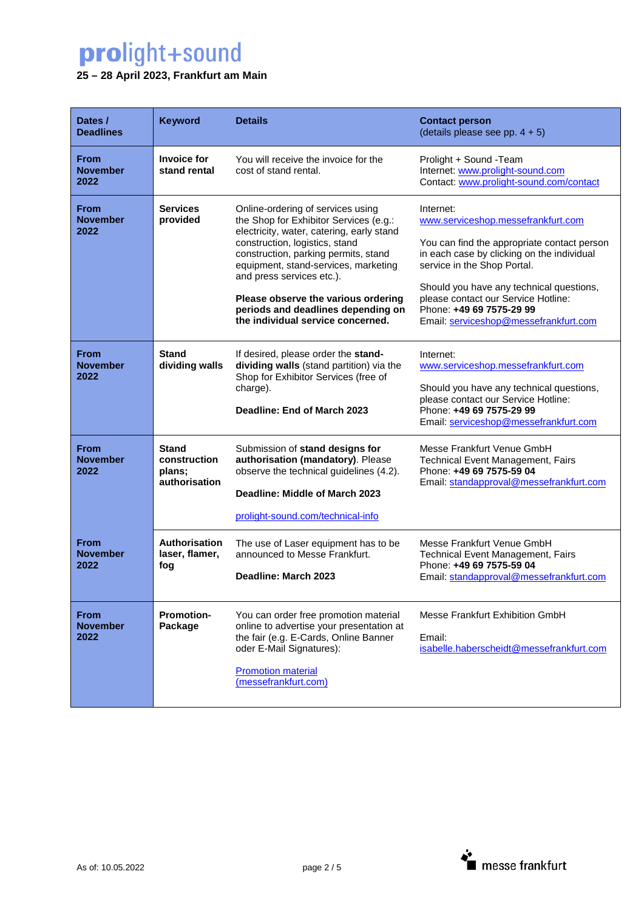### **25 – 28 April 2023, Frankfurt am Main**

| Dates /<br><b>Deadlines</b>            | <b>Keyword</b>                                          | <b>Details</b>                                                                                                                                                                                                                                                                                                                                                                            | <b>Contact person</b><br>(details please see pp. $4 + 5$ )                                                                                                                                                                                                                                                                          |
|----------------------------------------|---------------------------------------------------------|-------------------------------------------------------------------------------------------------------------------------------------------------------------------------------------------------------------------------------------------------------------------------------------------------------------------------------------------------------------------------------------------|-------------------------------------------------------------------------------------------------------------------------------------------------------------------------------------------------------------------------------------------------------------------------------------------------------------------------------------|
| <b>From</b><br><b>November</b><br>2022 | <b>Invoice for</b><br>stand rental                      | You will receive the invoice for the<br>cost of stand rental.                                                                                                                                                                                                                                                                                                                             | Prolight + Sound - Team<br>Internet: www.prolight-sound.com<br>Contact: www.prolight-sound.com/contact                                                                                                                                                                                                                              |
| From<br><b>November</b><br>2022        | <b>Services</b><br>provided                             | Online-ordering of services using<br>the Shop for Exhibitor Services (e.g.:<br>electricity, water, catering, early stand<br>construction, logistics, stand<br>construction, parking permits, stand<br>equipment, stand-services, marketing<br>and press services etc.).<br>Please observe the various ordering<br>periods and deadlines depending on<br>the individual service concerned. | Internet:<br>www.serviceshop.messefrankfurt.com<br>You can find the appropriate contact person<br>in each case by clicking on the individual<br>service in the Shop Portal.<br>Should you have any technical questions,<br>please contact our Service Hotline:<br>Phone: +49 69 7575-29 99<br>Email: serviceshop@messefrankfurt.com |
| <b>From</b><br><b>November</b><br>2022 | <b>Stand</b><br>dividing walls                          | If desired, please order the stand-<br>dividing walls (stand partition) via the<br>Shop for Exhibitor Services (free of<br>charge).<br>Deadline: End of March 2023                                                                                                                                                                                                                        | Internet:<br>www.serviceshop.messefrankfurt.com<br>Should you have any technical questions,<br>please contact our Service Hotline:<br>Phone: +49 69 7575-29 99<br>Email: serviceshop@messefrankfurt.com                                                                                                                             |
| <b>From</b><br><b>November</b><br>2022 | <b>Stand</b><br>construction<br>plans;<br>authorisation | Submission of stand designs for<br>authorisation (mandatory). Please<br>observe the technical guidelines (4.2).<br>Deadline: Middle of March 2023<br>prolight-sound.com/technical-info                                                                                                                                                                                                    | Messe Frankfurt Venue GmbH<br><b>Technical Event Management, Fairs</b><br>Phone: +49 69 7575-59 04<br>Email: standapproval@messefrankfurt.com                                                                                                                                                                                       |
| <b>From</b><br><b>November</b><br>2022 | Authorisation<br>laser, flamer,<br>fog                  | The use of Laser equipment has to be<br>announced to Messe Frankfurt.<br>Deadline: March 2023                                                                                                                                                                                                                                                                                             | Messe Frankfurt Venue GmbH<br><b>Technical Event Management, Fairs</b><br>Phone: +49 69 7575-59 04<br>Email: standapproval@messefrankfurt.com                                                                                                                                                                                       |
| <b>From</b><br><b>November</b><br>2022 | <b>Promotion-</b><br>Package                            | You can order free promotion material<br>online to advertise your presentation at<br>the fair (e.g. E-Cards, Online Banner<br>oder E-Mail Signatures):<br><b>Promotion material</b><br>(messefrankfurt.com)                                                                                                                                                                               | Messe Frankfurt Exhibition GmbH<br>Email:<br>isabelle.haberscheidt@messefrankfurt.com                                                                                                                                                                                                                                               |

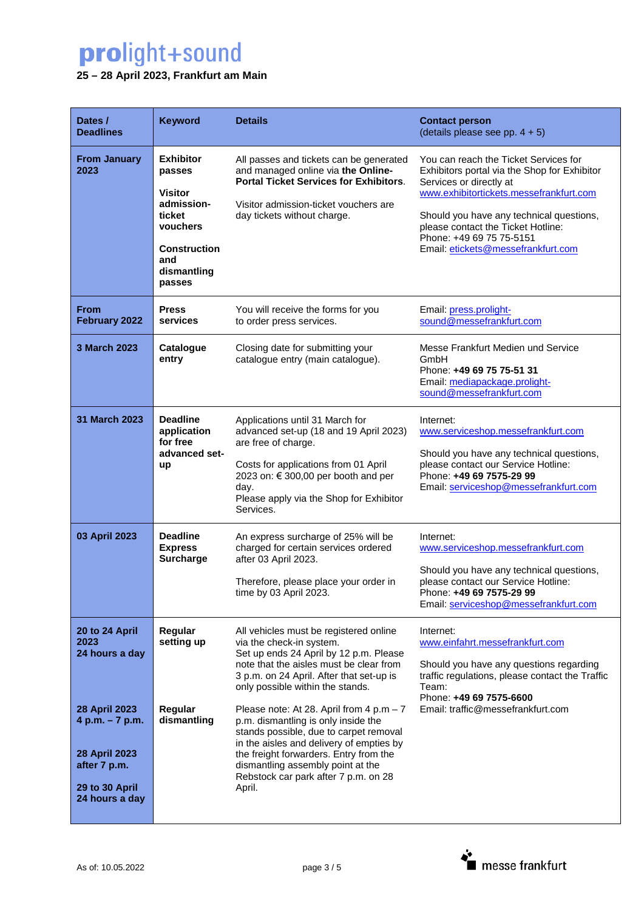### **25 – 28 April 2023, Frankfurt am Main**

| Dates /<br><b>Deadlines</b>                                                                           | <b>Keyword</b>                                                                                                                          | <b>Details</b>                                                                                                                                                                                                                                                                                           | <b>Contact person</b><br>(details please see pp. $4 + 5$ )                                                                                                                                                                                                                                                      |
|-------------------------------------------------------------------------------------------------------|-----------------------------------------------------------------------------------------------------------------------------------------|----------------------------------------------------------------------------------------------------------------------------------------------------------------------------------------------------------------------------------------------------------------------------------------------------------|-----------------------------------------------------------------------------------------------------------------------------------------------------------------------------------------------------------------------------------------------------------------------------------------------------------------|
| <b>From January</b><br>2023                                                                           | <b>Exhibitor</b><br>passes<br><b>Visitor</b><br>admission-<br>ticket<br>vouchers<br><b>Construction</b><br>and<br>dismantling<br>passes | All passes and tickets can be generated<br>and managed online via the Online-<br><b>Portal Ticket Services for Exhibitors.</b><br>Visitor admission-ticket vouchers are<br>day tickets without charge.                                                                                                   | You can reach the Ticket Services for<br>Exhibitors portal via the Shop for Exhibitor<br>Services or directly at<br>www.exhibitortickets.messefrankfurt.com<br>Should you have any technical questions,<br>please contact the Ticket Hotline:<br>Phone: +49 69 75 75-5151<br>Email: etickets@messefrankfurt.com |
| <b>From</b><br>February 2022                                                                          | <b>Press</b><br>services                                                                                                                | You will receive the forms for you<br>to order press services.                                                                                                                                                                                                                                           | Email: press.prolight-<br>sound@messefrankfurt.com                                                                                                                                                                                                                                                              |
| 3 March 2023                                                                                          | <b>Catalogue</b><br>entry                                                                                                               | Closing date for submitting your<br>catalogue entry (main catalogue).                                                                                                                                                                                                                                    | Messe Frankfurt Medien und Service<br>GmbH<br>Phone: +49 69 75 75-51 31<br>Email: mediapackage.prolight-<br>sound@messefrankfurt.com                                                                                                                                                                            |
| 31 March 2023                                                                                         | <b>Deadline</b><br>application<br>for free<br>advanced set-<br>up                                                                       | Applications until 31 March for<br>advanced set-up (18 and 19 April 2023)<br>are free of charge.<br>Costs for applications from 01 April<br>2023 on: € 300,00 per booth and per<br>day.<br>Please apply via the Shop for Exhibitor<br>Services.                                                          | Internet:<br>www.serviceshop.messefrankfurt.com<br>Should you have any technical questions,<br>please contact our Service Hotline:<br>Phone: +49 69 7575-29 99<br>Email: serviceshop@messefrankfurt.com                                                                                                         |
| 03 April 2023                                                                                         | <b>Deadline</b><br><b>Express</b><br><b>Surcharge</b>                                                                                   | An express surcharge of 25% will be<br>charged for certain services ordered<br>after 03 April 2023.<br>Therefore, please place your order in<br>time by 03 April 2023.                                                                                                                                   | Internet:<br>www.serviceshop.messefrankfurt.com<br>Should you have any technical questions,<br>please contact our Service Hotline:<br>Phone: +49 69 7575-29 99<br>Email: serviceshop@messefrankfurt.com                                                                                                         |
| 20 to 24 April<br>2023<br>24 hours a day                                                              | Regular<br>setting up                                                                                                                   | All vehicles must be registered online<br>via the check-in system.<br>Set up ends 24 April by 12 p.m. Please<br>note that the aisles must be clear from<br>3 p.m. on 24 April. After that set-up is<br>only possible within the stands.                                                                  | Internet:<br>www.einfahrt.messefrankfurt.com<br>Should you have any questions regarding<br>traffic regulations, please contact the Traffic<br>Team:<br>Phone: +49 69 7575-6600                                                                                                                                  |
| 28 April 2023<br>4 p.m. - 7 p.m.<br>28 April 2023<br>after 7 p.m.<br>29 to 30 April<br>24 hours a day | Regular<br>dismantling                                                                                                                  | Please note: At 28. April from $4 p.m - 7$<br>p.m. dismantling is only inside the<br>stands possible, due to carpet removal<br>in the aisles and delivery of empties by<br>the freight forwarders. Entry from the<br>dismantling assembly point at the<br>Rebstock car park after 7 p.m. on 28<br>April. | Email: traffic@messefrankfurt.com                                                                                                                                                                                                                                                                               |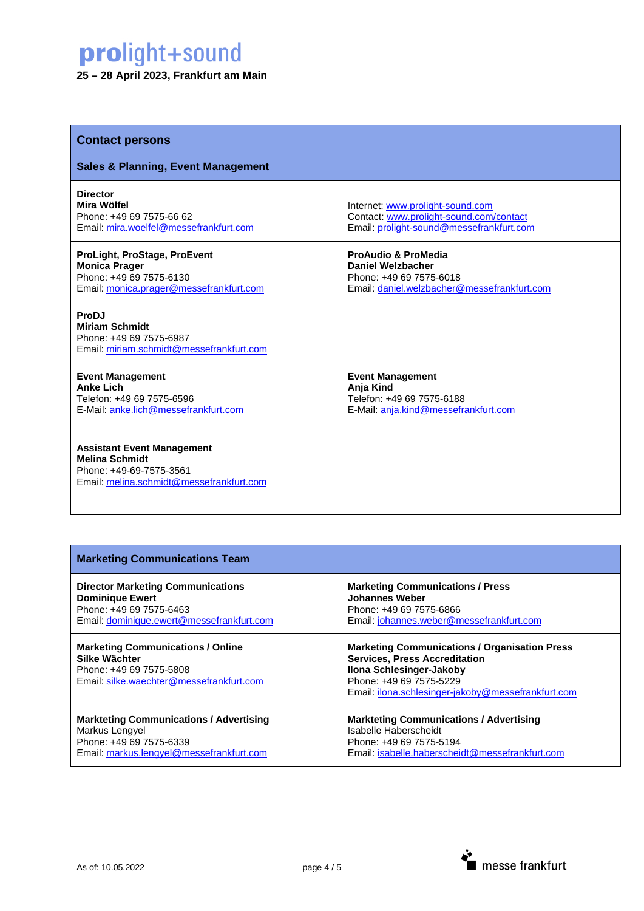#### **25 – 28 April 2023, Frankfurt am Main**

#### **Contact persons**

#### **Sales & Planning, Event Management**

**Director**

**Mira Wölfel**  Phone: +49 69 7575-66 62 Email: [mira.woelfel@messefrankfurt.com](mailto:mira.woelfel@messefrankfurt.com)

**ProLight, ProStage, ProEvent Monica Prager** Phone: +49 69 7575-6130 Email: [monica.prager@messefrankfurt.com](mailto:monica.prager@messefrankfurt.com)

#### **ProDJ**

**Miriam Schmidt**  Phone: +49 69 7575-6987 Email: [miriam.schmidt@messefrankfurt.com](mailto:miriam.schmidt@messefrankfurt.com)

**Event Management Anke Lich** Telefon: +49 69 7575-6596 E-Mail: [anke.lich@messefrankfurt.com](mailto:anke.lich@messefrankfurt.com)

**Assistant Event Management Melina Schmidt**  Phone: +49-69-7575-3561 Email: [melina.schmidt@messefrankfurt.com](mailto:melina.schmidt@messefrankfurt.com) Internet: [www.prolight-sound.com](http://www.prolight-sound.com/) Contact[: www.prolight-sound.com/contact](http://www.prolight-sound.com/contact) Email: [prolight-sound@messefrankfurt.com](mailto:prolight-sound@messefrankfurt.com)

**ProAudio & ProMedia Daniel Welzbacher**  Phone: +49 69 7575-6018 Email: [daniel.welzbacher@messefrankfurt.com](mailto:daniel.welzbacher@messefrankfurt.com)

**Event Management Anja Kind** Telefon: +49 69 7575-6188 E-Mail: [anja.kind@messefrankfurt.com](mailto:anja.kind@messefrankfurt.com)

#### **Marketing Communications Team**

**Director Marketing Communications Dominique Ewert**  Phone: +49 69 7575-6463 Email: [dominique.ewert@messefrankfurt.com](mailto:dominique.ewert@messefrankfurt.com)

#### **Marketing Communications / Online Silke Wächter** Phone: +49 69 7575-5808

Email: [silke.waechter@messefrankfurt.com](mailto:silke.waechter@messefrankfurt.com)

#### **Markteting Communications / Advertising** Markus Lengyel Phone: +49 69 7575-6339

Email: [markus.lengyel@messefrankfurt.com](mailto:markus.lengyel@messefrankfurt.com)

#### **Marketing Communications / Press Johannes Weber**  Phone: +49 69 7575-6866 Email: [johannes.weber@messefrankfurt.com](mailto:johannes.weber@messefrankfurt.com)

**Marketing Communications / Organisation Press Services, Press Accreditation Ilona Schlesinger-Jakoby**  Phone: +49 69 7575-5229 Email: [ilona.schlesinger-jakoby@messefrankfurt.com](mailto:ilona.schlesinger-jakoby@messefrankfurt.com)

**Markteting Communications / Advertising** Isabelle Haberscheidt Phone: +49 69 7575-5194 Email: [isabelle.haberscheidt@messefrankfurt.com](mailto:isabelle.haberscheidt@messefrankfurt.com)